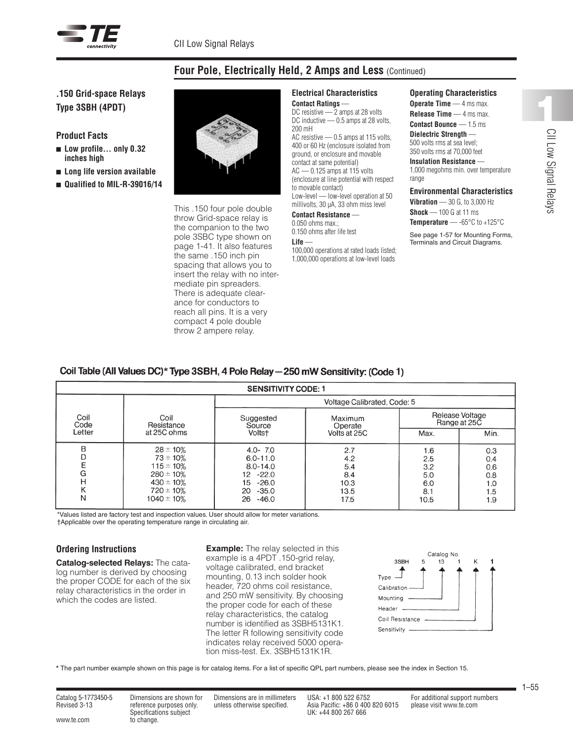

# **Four Pole, Electrically Held, 2 Amps and Less** (Continued)

**.150 Grid-space Relays Type 3SBH (4PDT)**

**Product Facts**

- Low profile... only 0.32 **inches high**
- <sup>n</sup> **Long life version available**
- <sup>n</sup> **Qualified to MIL-R-39016/14**



This .150 four pole double throw Grid-space relay is the companion to the two pole 3SBC type shown on page 1-41. It also features the same .150 inch pin spacing that allows you to insert the relay with no intermediate pin spreaders. There is adequate clearance for conductors to reach all pins. It is a very compact 4 pole double throw 2 ampere relay.

### **Electrical Characteristics Contact Ratings** —

DC resistive — 2 amps at 28 volts DC inductive - 0.5 amps at 28 volts, 200 mH AC resistive — 0.5 amps at 115 volts, 400 or 60 Hz (enclosure isolated from ground, or enclosure and movable contact at same potential) AC — 0.125 amps at 115 volts (enclosure at line potential with respect to movable contact) Low-level — low-level operation at 50 millivolts, 30 µA, 33 ohm miss level **Contact Resistance** —

0.050 ohms max.;

0.150 ohms after life test **Life** —

100,000 operations at rated loads listed; 1,000,000 operations at low-level loads

**Operating Characteristics**

**Operate Time** — 4 ms max. **Release Time** — 4 ms max. **Contact Bounce** — 1.5 ms **Dielectric Strength** — 500 volts rms at sea level;

#### 350 volts rms at 70,000 feet **Insulation Resistance** —

1,000 megohms min. over temperature range

## **Environmental Characteristics**

**Vibration** — 30 G, to 3,000 Hz

**Shock** — 100 G at 11 ms **Temperature** — -65°C to +125°C

See page 1-57 for Mounting Forms, Terminals and Circuit Diagrams.

|  |  | Coil Table (All Values DC)* Type 3SBH, 4 Pole Relay — 250 mW Sensitivity: (Code 1) |
|--|--|------------------------------------------------------------------------------------|
|  |  |                                                                                    |

| <b>SENSITIVITY CODE: 1</b>      |                                                                                                                           |                                                                                                               |                                                  |                                                |                                               |  |  |  |  |
|---------------------------------|---------------------------------------------------------------------------------------------------------------------------|---------------------------------------------------------------------------------------------------------------|--------------------------------------------------|------------------------------------------------|-----------------------------------------------|--|--|--|--|
| Coil<br>Code                    | Coil<br>Resistance<br>at 25C ohms                                                                                         | Voltage Calibrated, Code: 5                                                                                   |                                                  |                                                |                                               |  |  |  |  |
|                                 |                                                                                                                           | Suggested<br>Source<br>Voltst                                                                                 | Maximum<br>Operate<br>Volts at 25C               | Release Voltage<br>Range at 25C                |                                               |  |  |  |  |
| Letter                          |                                                                                                                           |                                                                                                               |                                                  | Max.                                           | Min.                                          |  |  |  |  |
| B<br>D<br>E<br>G<br>Η<br>Κ<br>Ν | $28 \pm 10\%$<br>$73 \pm 10\%$<br>$115 \pm 10\%$<br>$280 \pm 10\%$<br>$430 \pm 10\%$<br>$720 \pm 10\%$<br>$1040 \pm 10\%$ | $4.0 - 7.0$<br>$6.0 - 11.0$<br>$8.0 - 14.0$<br>$12 - 22.0$<br>15<br>$-26.0$<br>$-35.0$<br>20<br>26<br>$-46.0$ | 2.7<br>4.2<br>5.4<br>8.4<br>10.3<br>13.5<br>17.5 | 1.6<br>2.5<br>3.2<br>5.0<br>6.0<br>8.1<br>10.5 | 0.3<br>0.4<br>0.6<br>0.8<br>1.0<br>1.5<br>1.9 |  |  |  |  |

\*Values listed are factory test and inspection values. User should allow for meter variations. †Applicable over the operating temperature range in circulating air.

## **Ordering Instructions**

**Catalog-selected Relays:** The catalog number is derived by choosing the proper CODE for each of the six relay characteristics in the order in which the codes are listed.

**Example:** The relay selected in this example is a 4PDT .150-grid relay, voltage calibrated, end bracket mounting, 0.13 inch solder hook header, 720 ohms coil resistance, and 250 mW sensitivity. By choosing the proper code for each of these relay characteristics, the catalog number is identified as 3SBH5131K1. The letter R following sensitivity code indicates relay received 5000 operation miss-test. Ex. 3SBH5131K1R.



**\*** The part number example shown on this page is for catalog items. For a list of specific QPL part numbers, please see the index in Section 15.

www.te.com to change.

Catalog 5-1773450-5 Dimensions are shown for Dimensions are in millimeters USA: +1 800 522 6752 For additional support numbers Specifications subject UK: +44 800 267 666

Revised 3-13 reference purposes only. unless otherwise specified. Asia Pacific: +86 0 400 820 6015 please visit www.te.com

1–55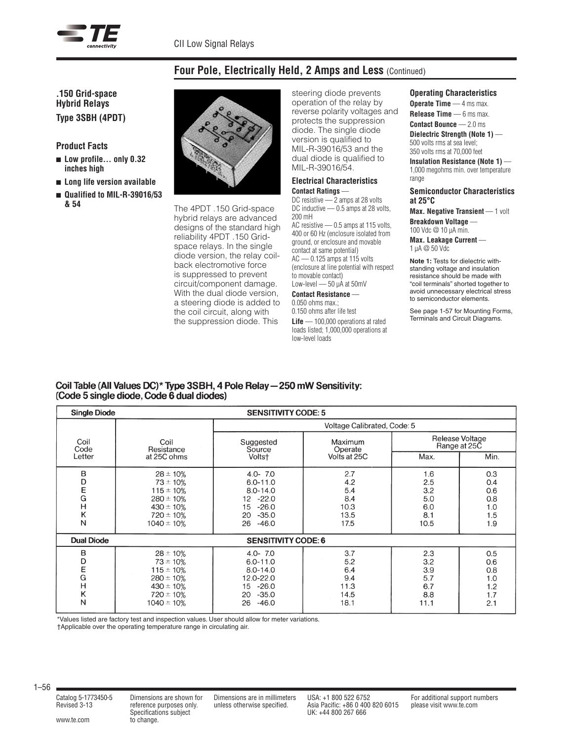

# **Four Pole, Electrically Held, 2 Amps and Less** (Continued)

**.150 Grid-space Hybrid Relays Type 3SBH (4PDT)**

**Product Facts**

- Low profile... only 0.32 **inches high**
- <sup>n</sup> **Long life version available**
- Qualified to MIL-R-39016/53 **& 54**



The 4PDT .150 Grid-space hybrid relays are advanced designs of the standard high reliability 4PDT .150 Gridspace relays. In the single diode version, the relay coilback electromotive force is suppressed to prevent circuit/component damage. With the dual diode version, a steering diode is added to the coil circuit, along with the suppression diode. This

steering diode prevents operation of the relay by reverse polarity voltages and protects the suppression diode. The single diode version is qualified to MIL-R-39016/53 and the dual diode is qualified to MIL-R-39016/54.

# **Electrical Characteristics**

**Contact Ratings** — DC resistive — 2 amps at 28 volts DC inductive - 0.5 amps at 28 volts, 200 mH AC resistive — 0.5 amps at 115 volts, 400 or 60 Hz (enclosure isolated from ground, or enclosure and movable contact at same potential) AC — 0.125 amps at 115 volts (enclosure at line potential with respect to movable contact) Low-level - 50 µA at 50mV

#### **Contact Resistance** 0.050 ohms max.; 0.150 ohms after life test

**Life** — 100,000 operations at rated loads listed; 1,000,000 operations at low-level loads

### **Operating Characteristics**

**Operate Time** — 4 ms max. **Release Time** — 6 ms max. **Contact Bounce** — 2.0 ms

**Dielectric Strength (Note 1)** — 500 volts rms at sea level; 350 volts rms at 70,000 feet

**Insulation Resistance (Note 1)** — 1,000 megohms min. over temperature range

### **Semiconductor Characteristics at 25°C**

**Max. Negative Transient** — 1 volt **Breakdown Voltage** —

100 Vdc @ 10 µA min. **Max. Leakage Current** —

1 µA @ 50 Vdc

**Note 1:** Tests for dielectric withstanding voltage and insulation resistance should be made with "coil terminals" shorted together to avoid unnecessary electrical stress to semiconductor elements.

See page 1-57 for Mounting Forms, Terminals and Circuit Diagrams.

## Coil Table (All Values DC)\* Type 3SBH, 4 Pole Relay - 250 mW Sensitivity: (Code 5 single diode, Code 6 dual diodes)

| <b>Single Diode</b><br><b>SENSITIVITY CODE: 5</b> |                                                                                                                           |                                                                                                               |                                                  |                                                |                                               |  |  |
|---------------------------------------------------|---------------------------------------------------------------------------------------------------------------------------|---------------------------------------------------------------------------------------------------------------|--------------------------------------------------|------------------------------------------------|-----------------------------------------------|--|--|
|                                                   |                                                                                                                           | Voltage Calibrated, Code: 5                                                                                   |                                                  |                                                |                                               |  |  |
| Coil<br>Code<br>Letter                            | Coil<br>Resistance<br>at 25C ohms                                                                                         | Suggested<br>Source<br>Voltst                                                                                 | Maximum<br>Operate<br>Volts at 25C               | Release Voltage<br>Range at 25C                |                                               |  |  |
|                                                   |                                                                                                                           |                                                                                                               |                                                  | Max.                                           | Min.                                          |  |  |
| B<br>D<br>E<br>G<br>$\overline{H}$<br>Κ<br>N      | $28 \pm 10\%$<br>$73 \pm 10\%$<br>$115 \pm 10\%$<br>$280 \pm 10\%$<br>$430 \pm 10\%$<br>$720 \pm 10\%$<br>$1040 \pm 10\%$ | $4.0 - 7.0$<br>$6.0 - 11.0$<br>$8.0 - 14.0$<br>$12 - 22.0$<br>$-26.0$<br>15<br>$-35.0$<br>20<br>$-46.0$<br>26 | 2.7<br>4.2<br>5.4<br>8.4<br>10.3<br>13.5<br>17.5 | 1.6<br>2.5<br>3.2<br>5.0<br>6.0<br>8.1<br>10.5 | 0.3<br>0.4<br>0.6<br>0.8<br>1.0<br>1.5<br>1.9 |  |  |
| <b>Dual Diode</b><br><b>SENSITIVITY CODE: 6</b>   |                                                                                                                           |                                                                                                               |                                                  |                                                |                                               |  |  |
| в<br>D<br>E<br>G<br>$\overline{H}$<br>Κ<br>N      | $28 \pm 10\%$<br>$73 \pm 10\%$<br>$115 \pm 10\%$<br>$280 \pm 10\%$<br>$430 \pm 10\%$<br>$720 \pm 10\%$<br>$1040 \pm 10%$  | $4.0 - 7.0$<br>$6.0 - 11.0$<br>$8.0 - 14.0$<br>12.0-22.0<br>15 -26.0<br>$-35.0$<br>20<br>$-46.0$<br>26        | 3.7<br>5.2<br>6.4<br>9.4<br>11.3<br>14.5<br>18.1 | 2.3<br>3.2<br>3.9<br>5.7<br>6.7<br>8.8<br>11.1 | 0.5<br>0.6<br>0.8<br>1.0<br>1.2<br>1.7<br>2.1 |  |  |

\*Values listed are factory test and inspection values. User should allow for meter variations.

†Applicable over the operating temperature range in circulating air.

1–56

www.te.com to change.

Specifications subject UK: +44 800 267 666

Catalog 5-1773450-5 Dimensions are shown for Dimensions are in millimeters USA: +1 800 522 6752 For additional support numbers Revised 3-13 reference purposes only. unless otherwise specified. Asia Pacific: +86 0 400 820 6015 please visit www.te.com